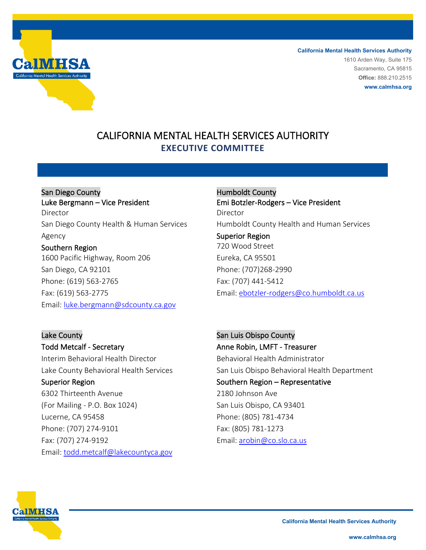

**California Mental Health Services Authority** 1610 Arden Way, Suite 175 Sacramento, CA 95815 **Office:** 888.210.2515 **www.calmhsa.org**

# CALIFORNIA MENTAL HEALTH SERVICES AUTHORITY **EXECUTIVE COMMITTEE**

San Diego County Luke Bergmann – Vice President Director San Diego County Health & Human Services Agency Southern Region 1600 Pacific Highway, Room 206 San Diego, CA 92101 Phone: (619) 563-2765 Fax: (619) 563-2775

Email: [luke.bergmann@sdcounty.ca.gov](mailto:luke.bergmann@sdcounty.ca.gov)

Humboldt County Emi Botzler-Rodgers – Vice President Director Humboldt County Health and Human Services Superior Region 720 Wood Street Eureka, CA 95501 Phone: (707)268-2990 Fax: (707) 441-5412 Email: [ebotzler-rodgers@co.humboldt.ca.us](mailto:ebotzler-rodgers@co.humboldt.ca.us)

Lake County Todd Metcalf - Secretary Interim Behavioral Health Director Lake County Behavioral Health Services Superior Region 6302 Thirteenth Avenue (For Mailing - P.O. Box 1024) Lucerne, CA 95458 Phone: (707) 274-9101 Fax: (707) 274-9192 Email: [todd.metcalf@lakecountyca.gov](mailto:todd.metcalf@lakecountyca.gov) 

San Luis Obispo County Anne Robin, LMFT - Treasurer Behavioral Health Administrator San Luis Obispo Behavioral Health Department Southern Region – Representative 2180 Johnson Ave San Luis Obispo, CA 93401 Phone: (805) 781-4734 Fax: (805) 781-1273 Email: [arobin@co.slo.ca.us](mailto:arobin@co.slo.ca.us)

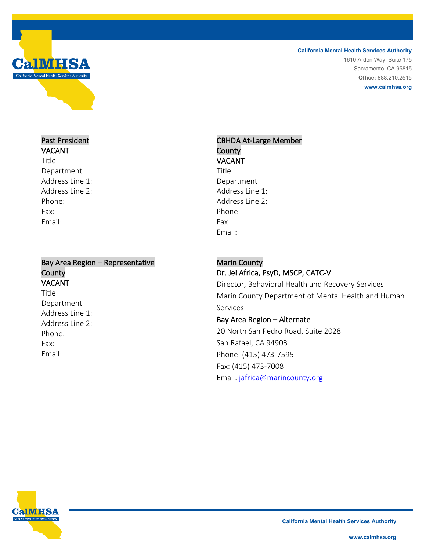

**California Mental Health Services Authority**

1610 Arden Way, Suite 175 Sacramento, CA 95815 **Office:** 888.210.2515 **www.calmhsa.org**

#### Past President VACANT

Title Department Address Line 1: Address Line 2: Phone: Fax: Email:

#### Bay Area Region – Representative County VACANT Title Department Address Line 1: Address Line 2: Phone: Fax: Email:

## CBHDA At-Large Member **County** VACANT

Title Department Address Line 1: Address Line 2: Phone: Fax: Email:

### Marin County

## Dr. Jei Africa, PsyD, MSCP, CATC-V

Director, Behavioral Health and Recovery Services Marin County Department of Mental Health and Human Services

#### Bay Area Region – Alternate

20 North San Pedro Road, Suite 2028 San Rafael, CA 94903 Phone: (415) 473-7595 Fax: (415) 473-7008 Email: [jafrica@marincounty.org](mailto:jafrica@marincounty.org)

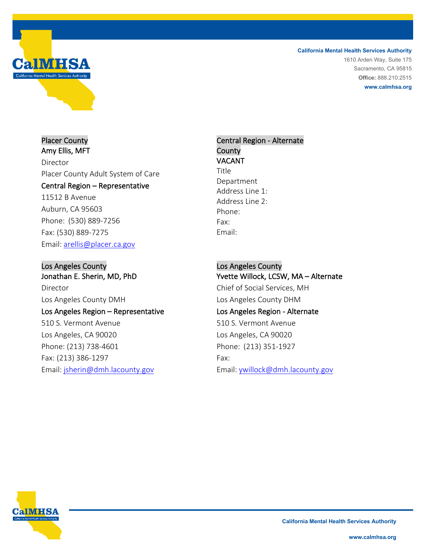**California Mental Health Services Authority** 1610 Arden Way, Suite 175 Sacramento, CA 95815

**Office:** 888.210.2515 **www.calmhsa.org**

Placer County Amy Ellis, MFT Director Placer County Adult System of Care Central Region – Representative 11512 B Avenue Auburn, CA 95603 Phone: (530) 889-7256 Fax: (530) 889-7275

Email: [arellis@placer.ca.gov](mailto:arellis@placer.ca.gov)

Los Angeles County Jonathan E. Sherin, MD, PhD Director Los Angeles County DMH Los Angeles Region – Representative 510 S. Vermont Avenue Los Angeles, CA 90020 Phone: (213) 738-4601 Fax: (213) 386-1297 Email: [jsherin@dmh.lacounty.gov](mailto:jsherin@dmh.lacounty.gov)

### Central Region - Alternate **County** VACANT

**Title** Department Address Line 1: Address Line 2: Phone: Fax: Email:

Los Angeles County Yvette Willock, LCSW, MA – Alternate Chief of Social Services, MH Los Angeles County DHM Los Angeles Region - Alternate 510 S. Vermont Avenue Los Angeles, CA 90020 Phone: (213) 351-1927 Fax: Email: [ywillock@dmh.lacounty.gov](mailto:ywillock@dmh.lacounty.gov)